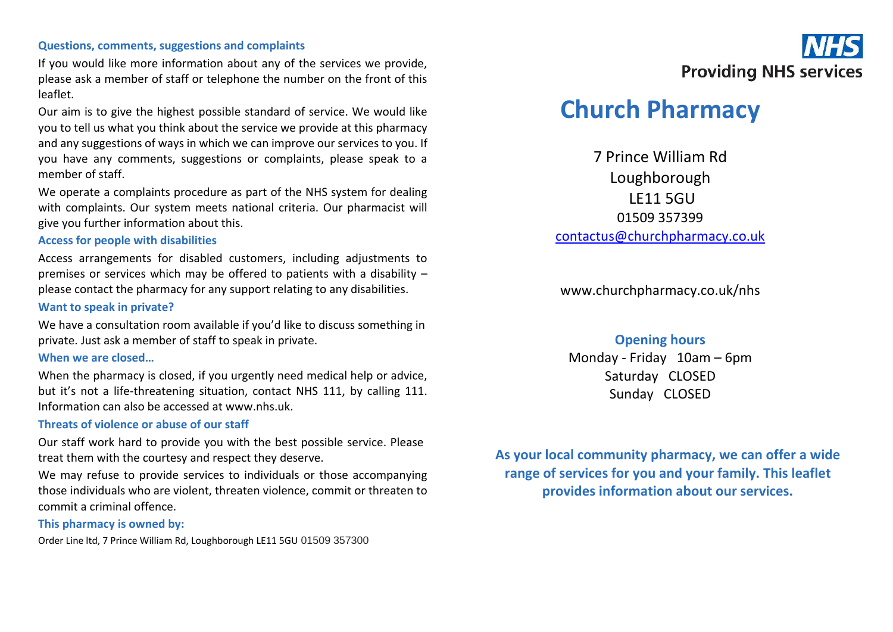#### **Questions, comments, suggestions and complaints**

If you would like more information about any of the services we provide, please ask a member of staff or telephone the number on the front of this leaflet.

Our aim is to give the highest possible standard of service. We would like you to tell us what you think about the service we provide at this pharmacy and any suggestions of ways in which we can improve our services to you. If you have any comments, suggestions or complaints, please speak to a member of staff.

We operate a complaints procedure as part of the NHS system for dealing with complaints. Our system meets national criteria. Our pharmacist will give you further information about this.

### **Access for people with disabilities**

Access arrangements for disabled customers, including adjustments to premises or services which may be offered to patients with a disability – please contact the pharmacy for any support relating to any disabilities.

### **Want to speak in private?**

We have a consultation room available if you'd like to discuss something in private. Just ask a member of staff to speak in private.

### **When we are closed…**

When the pharmacy is closed, if you urgently need medical help or advice, but it's not a life-threatening situation, contact NHS 111, by calling 111. Information can also be accessed at www.nhs.uk.

### **Threats of violence or abuse of our staff**

Our staff work hard to provide you with the best possible service. Please treat them with the courtesy and respect they deserve.

We may refuse to provide services to individuals or those accompanying those individuals who are violent, threaten violence, commit or threaten to commit a criminal offence.

### **This pharmacy is owned by:**

Order Line ltd, 7 Prince William Rd, Loughborough LE11 5GU 01509 357300



# **Church Pharmacy**

7 Prince William Rd Loughborough LE11 5GU 01509 357399 [contactus@churchpharmacy.co.uk](mailto:contactus@churchpharmacy.co.uk)

www.churchpharmacy.co.uk/nhs

### **Opening hours**

Monday - Friday 10am – 6pm Saturday CLOSED Sunday CLOSED

**As your local community pharmacy, we can offer a wide range of services for you and your family. This leaflet provides information about our services.**